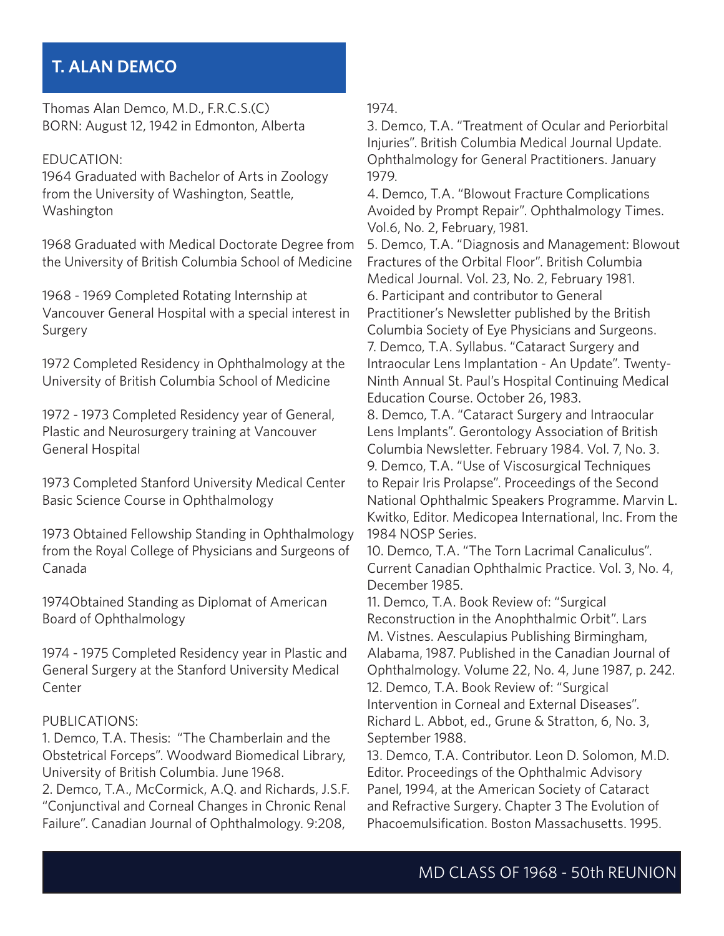# **T. ALAN DEMCO**

Thomas Alan Demco, M.D., F.R.C.S.(C) BORN: August 12, 1942 in Edmonton, Alberta

#### EDUCATION:

1964 Graduated with Bachelor of Arts in Zoology from the University of Washington, Seattle, Washington

1968 Graduated with Medical Doctorate Degree from the University of British Columbia School of Medicine

1968 - 1969 Completed Rotating Internship at Vancouver General Hospital with a special interest in Surgery

1972 Completed Residency in Ophthalmology at the University of British Columbia School of Medicine

1972 - 1973 Completed Residency year of General, Plastic and Neurosurgery training at Vancouver General Hospital

1973 Completed Stanford University Medical Center Basic Science Course in Ophthalmology

1973 Obtained Fellowship Standing in Ophthalmology from the Royal College of Physicians and Surgeons of Canada

1974Obtained Standing as Diplomat of American Board of Ophthalmology

1974 - 1975 Completed Residency year in Plastic and General Surgery at the Stanford University Medical Center

#### PUBLICATIONS:

1. Demco, T.A. Thesis: "The Chamberlain and the Obstetrical Forceps". Woodward Biomedical Library, University of British Columbia. June 1968.

2. Demco, T.A., McCormick, A.Q. and Richards, J.S.F. "Conjunctival and Corneal Changes in Chronic Renal Failure". Canadian Journal of Ophthalmology. 9:208,

1974.

3. Demco, T.A. "Treatment of Ocular and Periorbital Injuries". British Columbia Medical Journal Update. Ophthalmology for General Practitioners. January 1979.

4. Demco, T.A. "Blowout Fracture Complications Avoided by Prompt Repair". Ophthalmology Times. Vol.6, No. 2, February, 1981.

5. Demco, T.A. "Diagnosis and Management: Blowout Fractures of the Orbital Floor". British Columbia Medical Journal. Vol. 23, No. 2, February 1981. 6. Participant and contributor to General Practitioner's Newsletter published by the British Columbia Society of Eye Physicians and Surgeons. 7. Demco, T.A. Syllabus. "Cataract Surgery and Intraocular Lens Implantation - An Update". Twenty-Ninth Annual St. Paul's Hospital Continuing Medical Education Course. October 26, 1983.

8. Demco, T.A. "Cataract Surgery and Intraocular Lens Implants". Gerontology Association of British Columbia Newsletter. February 1984. Vol. 7, No. 3. 9. Demco, T.A. "Use of Viscosurgical Techniques to Repair Iris Prolapse". Proceedings of the Second National Ophthalmic Speakers Programme. Marvin L. Kwitko, Editor. Medicopea International, Inc. From the 1984 NOSP Series.

10. Demco, T.A. "The Torn Lacrimal Canaliculus". Current Canadian Ophthalmic Practice. Vol. 3, No. 4, December 1985.

11. Demco, T.A. Book Review of: "Surgical Reconstruction in the Anophthalmic Orbit". Lars M. Vistnes. Aesculapius Publishing Birmingham, Alabama, 1987. Published in the Canadian Journal of Ophthalmology. Volume 22, No. 4, June 1987, p. 242. 12. Demco, T.A. Book Review of: "Surgical Intervention in Corneal and External Diseases". Richard L. Abbot, ed., Grune & Stratton, 6, No. 3, September 1988.

13. Demco, T.A. Contributor. Leon D. Solomon, M.D. Editor. Proceedings of the Ophthalmic Advisory Panel, 1994, at the American Society of Cataract and Refractive Surgery. Chapter 3 The Evolution of Phacoemulsification. Boston Massachusetts. 1995.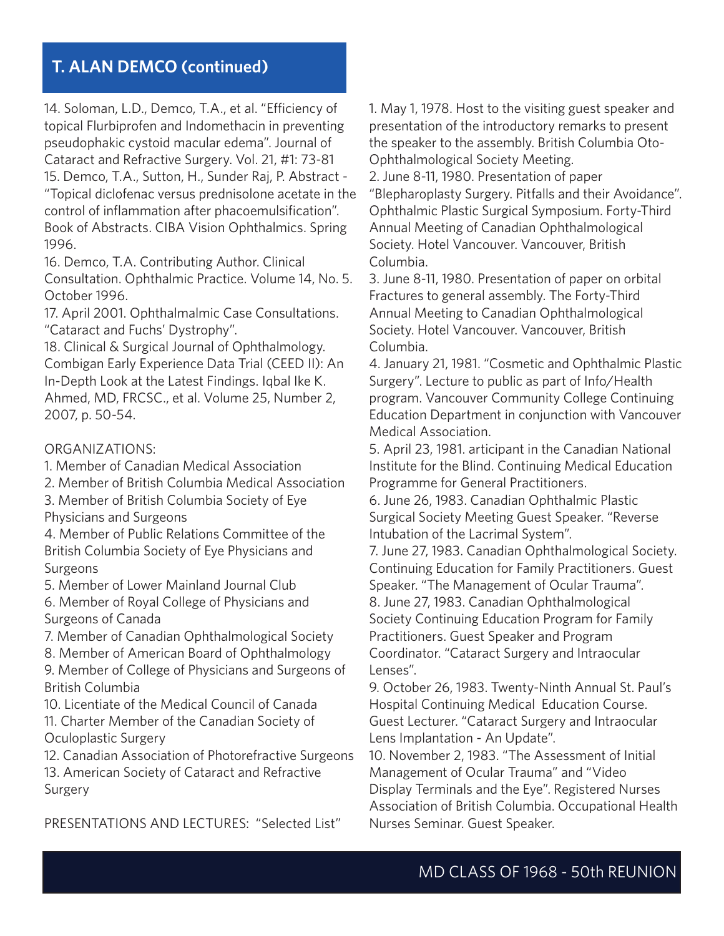14. Soloman, L.D., Demco, T.A., et al. "Efficiency of topical Flurbiprofen and Indomethacin in preventing pseudophakic cystoid macular edema". Journal of Cataract and Refractive Surgery. Vol. 21, #1: 73-81 15. Demco, T.A., Sutton, H., Sunder Raj, P. Abstract - "Topical diclofenac versus prednisolone acetate in the control of inflammation after phacoemulsification". Book of Abstracts. CIBA Vision Ophthalmics. Spring 1996.

16. Demco, T.A. Contributing Author. Clinical Consultation. Ophthalmic Practice. Volume 14, No. 5. October 1996.

17. April 2001. Ophthalmalmic Case Consultations. "Cataract and Fuchs' Dystrophy".

18. Clinical & Surgical Journal of Ophthalmology. Combigan Early Experience Data Trial (CEED II): An In-Depth Look at the Latest Findings. Iqbal Ike K. Ahmed, MD, FRCSC., et al. Volume 25, Number 2, 2007, p. 50-54.

### ORGANIZATIONS:

1. Member of Canadian Medical Association

2. Member of British Columbia Medical Association

3. Member of British Columbia Society of Eye Physicians and Surgeons

4. Member of Public Relations Committee of the British Columbia Society of Eye Physicians and Surgeons

5. Member of Lower Mainland Journal Club

6. Member of Royal College of Physicians and Surgeons of Canada

7. Member of Canadian Ophthalmological Society

8. Member of American Board of Ophthalmology

9. Member of College of Physicians and Surgeons of British Columbia

10. Licentiate of the Medical Council of Canada 11. Charter Member of the Canadian Society of Oculoplastic Surgery

12. Canadian Association of Photorefractive Surgeons

13. American Society of Cataract and Refractive Surgery

PRESENTATIONS AND LECTURES: "Selected List"

1. May 1, 1978. Host to the visiting guest speaker and presentation of the introductory remarks to present the speaker to the assembly. British Columbia Oto-Ophthalmological Society Meeting.

2. June 8-11, 1980. Presentation of paper "Blepharoplasty Surgery. Pitfalls and their Avoidance". Ophthalmic Plastic Surgical Symposium. Forty-Third Annual Meeting of Canadian Ophthalmological Society. Hotel Vancouver. Vancouver, British Columbia.

3. June 8-11, 1980. Presentation of paper on orbital Fractures to general assembly. The Forty-Third Annual Meeting to Canadian Ophthalmological Society. Hotel Vancouver. Vancouver, British Columbia.

4. January 21, 1981. "Cosmetic and Ophthalmic Plastic Surgery". Lecture to public as part of Info/Health program. Vancouver Community College Continuing Education Department in conjunction with Vancouver Medical Association.

5. April 23, 1981. articipant in the Canadian National Institute for the Blind. Continuing Medical Education Programme for General Practitioners.

6. June 26, 1983. Canadian Ophthalmic Plastic Surgical Society Meeting Guest Speaker. "Reverse Intubation of the Lacrimal System".

7. June 27, 1983. Canadian Ophthalmological Society. Continuing Education for Family Practitioners. Guest Speaker. "The Management of Ocular Trauma". 8. June 27, 1983. Canadian Ophthalmological

Society Continuing Education Program for Family Practitioners. Guest Speaker and Program Coordinator. "Cataract Surgery and Intraocular Lenses".

9. October 26, 1983. Twenty-Ninth Annual St. Paul's Hospital Continuing Medical Education Course. Guest Lecturer. "Cataract Surgery and Intraocular Lens Implantation - An Update".

10. November 2, 1983. "The Assessment of Initial Management of Ocular Trauma" and "Video Display Terminals and the Eye". Registered Nurses Association of British Columbia. Occupational Health Nurses Seminar. Guest Speaker.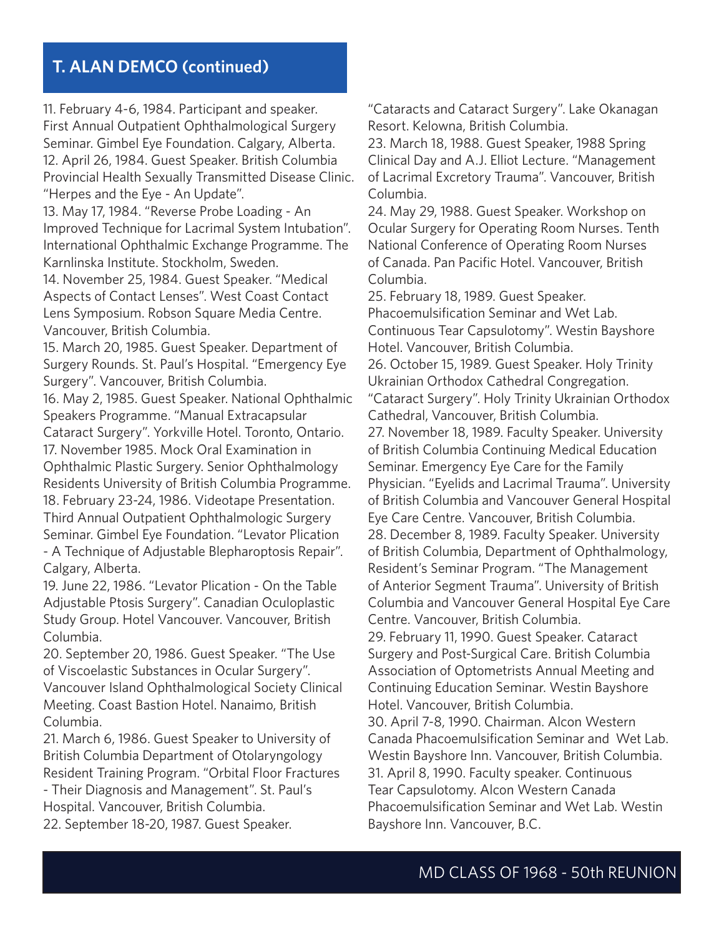11. February 4-6, 1984. Participant and speaker. First Annual Outpatient Ophthalmological Surgery Seminar. Gimbel Eye Foundation. Calgary, Alberta. 12. April 26, 1984. Guest Speaker. British Columbia Provincial Health Sexually Transmitted Disease Clinic. "Herpes and the Eye - An Update".

13. May 17, 1984. "Reverse Probe Loading - An Improved Technique for Lacrimal System Intubation". International Ophthalmic Exchange Programme. The Karnlinska Institute. Stockholm, Sweden.

14. November 25, 1984. Guest Speaker. "Medical Aspects of Contact Lenses". West Coast Contact Lens Symposium. Robson Square Media Centre. Vancouver, British Columbia.

15. March 20, 1985. Guest Speaker. Department of Surgery Rounds. St. Paul's Hospital. "Emergency Eye Surgery". Vancouver, British Columbia.

16. May 2, 1985. Guest Speaker. National Ophthalmic Speakers Programme. "Manual Extracapsular Cataract Surgery". Yorkville Hotel. Toronto, Ontario. 17. November 1985. Mock Oral Examination in Ophthalmic Plastic Surgery. Senior Ophthalmology Residents University of British Columbia Programme. 18. February 23-24, 1986. Videotape Presentation. Third Annual Outpatient Ophthalmologic Surgery Seminar. Gimbel Eye Foundation. "Levator Plication - A Technique of Adjustable Blepharoptosis Repair". Calgary, Alberta.

19. June 22, 1986. "Levator Plication - On the Table Adjustable Ptosis Surgery". Canadian Oculoplastic Study Group. Hotel Vancouver. Vancouver, British Columbia.

20. September 20, 1986. Guest Speaker. "The Use of Viscoelastic Substances in Ocular Surgery". Vancouver Island Ophthalmological Society Clinical Meeting. Coast Bastion Hotel. Nanaimo, British Columbia.

21. March 6, 1986. Guest Speaker to University of British Columbia Department of Otolaryngology Resident Training Program. "Orbital Floor Fractures

- Their Diagnosis and Management". St. Paul's Hospital. Vancouver, British Columbia.

22. September 18-20, 1987. Guest Speaker.

"Cataracts and Cataract Surgery". Lake Okanagan Resort. Kelowna, British Columbia.

23. March 18, 1988. Guest Speaker, 1988 Spring Clinical Day and A.J. Elliot Lecture. "Management of Lacrimal Excretory Trauma". Vancouver, British Columbia.

24. May 29, 1988. Guest Speaker. Workshop on Ocular Surgery for Operating Room Nurses. Tenth National Conference of Operating Room Nurses of Canada. Pan Pacific Hotel. Vancouver, British Columbia.

25. February 18, 1989. Guest Speaker. Phacoemulsification Seminar and Wet Lab. Continuous Tear Capsulotomy". Westin Bayshore Hotel. Vancouver, British Columbia. 26. October 15, 1989. Guest Speaker. Holy Trinity Ukrainian Orthodox Cathedral Congregation. "Cataract Surgery". Holy Trinity Ukrainian Orthodox Cathedral, Vancouver, British Columbia. 27. November 18, 1989. Faculty Speaker. University of British Columbia Continuing Medical Education Seminar. Emergency Eye Care for the Family Physician. "Eyelids and Lacrimal Trauma". University of British Columbia and Vancouver General Hospital Eye Care Centre. Vancouver, British Columbia. 28. December 8, 1989. Faculty Speaker. University of British Columbia, Department of Ophthalmology, Resident's Seminar Program. "The Management of Anterior Segment Trauma". University of British Columbia and Vancouver General Hospital Eye Care Centre. Vancouver, British Columbia. 29. February 11, 1990. Guest Speaker. Cataract Surgery and Post-Surgical Care. British Columbia Association of Optometrists Annual Meeting and Continuing Education Seminar. Westin Bayshore Hotel. Vancouver, British Columbia. 30. April 7-8, 1990. Chairman. Alcon Western Canada Phacoemulsification Seminar and Wet Lab. Westin Bayshore Inn. Vancouver, British Columbia. 31. April 8, 1990. Faculty speaker. Continuous Tear Capsulotomy. Alcon Western Canada Phacoemulsification Seminar and Wet Lab. Westin Bayshore Inn. Vancouver, B.C.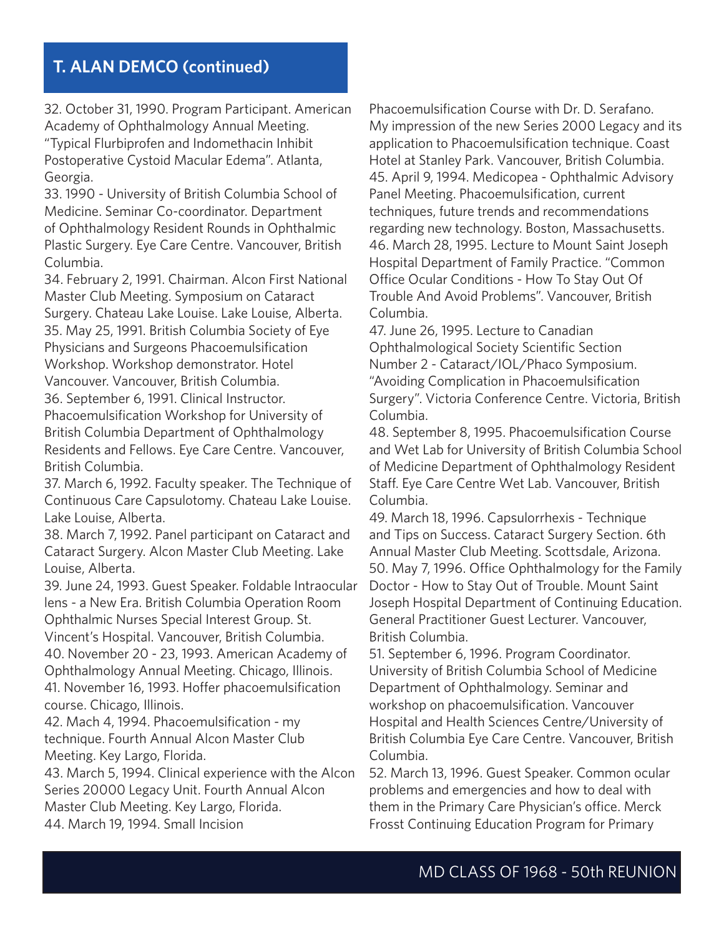32. October 31, 1990. Program Participant. American Academy of Ophthalmology Annual Meeting. "Typical Flurbiprofen and Indomethacin Inhibit Postoperative Cystoid Macular Edema". Atlanta, Georgia.

33. 1990 - University of British Columbia School of Medicine. Seminar Co-coordinator. Department of Ophthalmology Resident Rounds in Ophthalmic Plastic Surgery. Eye Care Centre. Vancouver, British Columbia.

34. February 2, 1991. Chairman. Alcon First National Master Club Meeting. Symposium on Cataract Surgery. Chateau Lake Louise. Lake Louise, Alberta. 35. May 25, 1991. British Columbia Society of Eye Physicians and Surgeons Phacoemulsification Workshop. Workshop demonstrator. Hotel Vancouver. Vancouver, British Columbia. 36. September 6, 1991. Clinical Instructor.

Phacoemulsification Workshop for University of British Columbia Department of Ophthalmology Residents and Fellows. Eye Care Centre. Vancouver, British Columbia.

37. March 6, 1992. Faculty speaker. The Technique of Continuous Care Capsulotomy. Chateau Lake Louise. Lake Louise, Alberta.

38. March 7, 1992. Panel participant on Cataract and Cataract Surgery. Alcon Master Club Meeting. Lake Louise, Alberta.

39. June 24, 1993. Guest Speaker. Foldable Intraocular lens - a New Era. British Columbia Operation Room Ophthalmic Nurses Special Interest Group. St.

Vincent's Hospital. Vancouver, British Columbia.

40. November 20 - 23, 1993. American Academy of Ophthalmology Annual Meeting. Chicago, Illinois. 41. November 16, 1993. Hoffer phacoemulsification

course. Chicago, Illinois.

42. Mach 4, 1994. Phacoemulsification - my technique. Fourth Annual Alcon Master Club Meeting. Key Largo, Florida.

43. March 5, 1994. Clinical experience with the Alcon Series 20000 Legacy Unit. Fourth Annual Alcon Master Club Meeting. Key Largo, Florida. 44. March 19, 1994. Small Incision

Phacoemulsification Course with Dr. D. Serafano. My impression of the new Series 2000 Legacy and its application to Phacoemulsification technique. Coast Hotel at Stanley Park. Vancouver, British Columbia. 45. April 9, 1994. Medicopea - Ophthalmic Advisory Panel Meeting. Phacoemulsification, current techniques, future trends and recommendations regarding new technology. Boston, Massachusetts. 46. March 28, 1995. Lecture to Mount Saint Joseph Hospital Department of Family Practice. "Common Office Ocular Conditions - How To Stay Out Of Trouble And Avoid Problems". Vancouver, British Columbia.

47. June 26, 1995. Lecture to Canadian Ophthalmological Society Scientific Section Number 2 - Cataract/IOL/Phaco Symposium. "Avoiding Complication in Phacoemulsification Surgery". Victoria Conference Centre. Victoria, British Columbia.

48. September 8, 1995. Phacoemulsification Course and Wet Lab for University of British Columbia School of Medicine Department of Ophthalmology Resident Staff. Eye Care Centre Wet Lab. Vancouver, British Columbia.

49. March 18, 1996. Capsulorrhexis - Technique and Tips on Success. Cataract Surgery Section. 6th Annual Master Club Meeting. Scottsdale, Arizona. 50. May 7, 1996. Office Ophthalmology for the Family Doctor - How to Stay Out of Trouble. Mount Saint Joseph Hospital Department of Continuing Education. General Practitioner Guest Lecturer. Vancouver, British Columbia.

51. September 6, 1996. Program Coordinator. University of British Columbia School of Medicine Department of Ophthalmology. Seminar and workshop on phacoemulsification. Vancouver Hospital and Health Sciences Centre/University of British Columbia Eye Care Centre. Vancouver, British Columbia.

52. March 13, 1996. Guest Speaker. Common ocular problems and emergencies and how to deal with them in the Primary Care Physician's office. Merck Frosst Continuing Education Program for Primary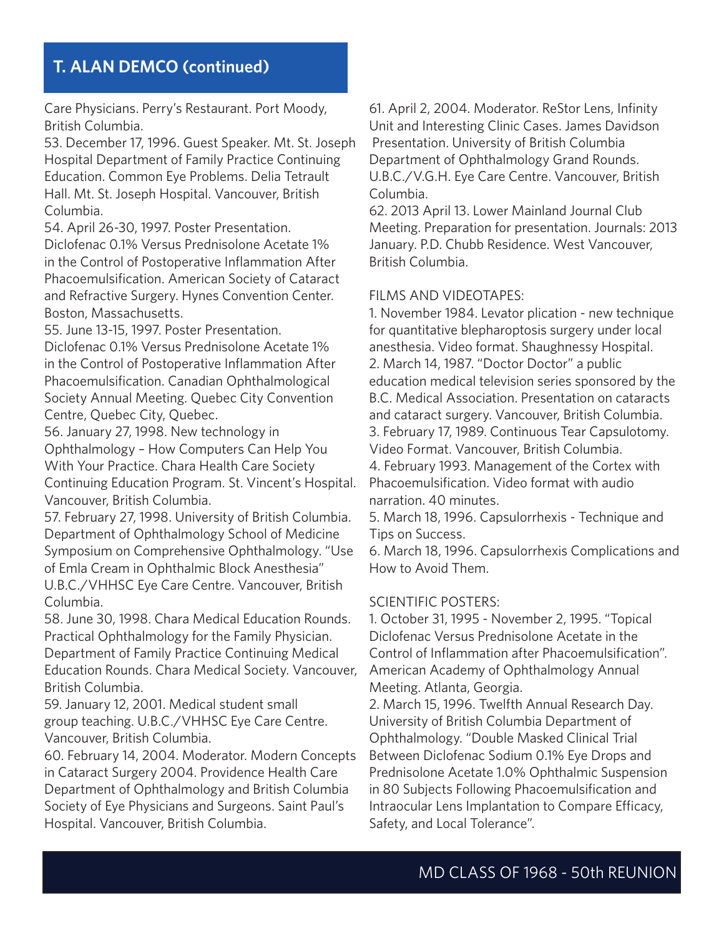Care Physicians. Perry's Restaurant. Port Moody, British Columbia.

53. December 17, 1996. Guest Speaker. Mt. St. Joseph Hospital Department of Family Practice Continuing Education. Common Eye Problems. Delia Tetrault Hall. Mt. St. Joseph Hospital. Vancouver, British Columbia.

54. April 26-30, 1997. Poster Presentation. Diclofenac 0.1% Versus Prednisolone Acetate 1% in the Control of Postoperative Inflammation After Phacoemulsification. American Society of Cataract and Refractive Surgery. Hynes Convention Center. Boston, Massachusetts.

55. June 13-15, 1997. Poster Presentation.

Diclofenac 0.1% Versus Prednisolone Acetate 1% in the Control of Postoperative Inflammation After Phacoemulsification. Canadian Ophthalmological Society Annual Meeting. Quebec City Convention Centre, Quebec City, Quebec.

56. January 27, 1998. New technology in Ophthalmology – How Computers Can Help You With Your Practice. Chara Health Care Society Continuing Education Program. St. Vincent's Hospital. Vancouver, British Columbia.

57. February 27, 1998. University of British Columbia. Department of Ophthalmology School of Medicine Symposium on Comprehensive Ophthalmology. "Use of Emla Cream in Ophthalmic Block Anesthesia" U.B.C./VHHSC Eye Care Centre. Vancouver, British Columbia.

58. June 30, 1998. Chara Medical Education Rounds. Practical Ophthalmology for the Family Physician. Department of Family Practice Continuing Medical Education Rounds. Chara Medical Society. Vancouver, British Columbia.

59. January 12, 2001. Medical student small group teaching. U.B.C./VHHSC Eye Care Centre. Vancouver, British Columbia.

60. February 14, 2004. Moderator. Modern Concepts in Cataract Surgery 2004. Providence Health Care Department of Ophthalmology and British Columbia Society of Eye Physicians and Surgeons. Saint Paul's Hospital. Vancouver, British Columbia.

61. April 2, 2004. Moderator. ReStor Lens, Infinity Unit and Interesting Clinic Cases. James Davidson Presentation. University of British Columbia Department of Ophthalmology Grand Rounds. U.B.C./V.G.H. Eye Care Centre. Vancouver, British Columbia.

62. 2013 April 13. Lower Mainland Journal Club Meeting. Preparation for presentation. Journals: 2013 January. P.D. Chubb Residence. West Vancouver, British Columbia.

## FILMS AND VIDEOTAPES:

1. November 1984. Levator plication - new technique for quantitative blepharoptosis surgery under local anesthesia. Video format. Shaughnessy Hospital. 2. March 14, 1987. "Doctor Doctor" a public education medical television series sponsored by the B.C. Medical Association. Presentation on cataracts and cataract surgery. Vancouver, British Columbia. 3. February 17, 1989. Continuous Tear Capsulotomy. Video Format. Vancouver, British Columbia. 4. February 1993. Management of the Cortex with Phacoemulsification. Video format with audio

narration. 40 minutes.

5. March 18, 1996. Capsulorrhexis - Technique and Tips on Success.

6. March 18, 1996. Capsulorrhexis Complications and How to Avoid Them.

### SCIENTIFIC POSTERS:

1. October 31, 1995 - November 2, 1995. "Topical Diclofenac Versus Prednisolone Acetate in the Control of Inflammation after Phacoemulsification". American Academy of Ophthalmology Annual Meeting. Atlanta, Georgia.

2. March 15, 1996. Twelfth Annual Research Day. University of British Columbia Department of Ophthalmology. "Double Masked Clinical Trial Between Diclofenac Sodium 0.1% Eye Drops and Prednisolone Acetate 1.0% Ophthalmic Suspension in 80 Subjects Following Phacoemulsification and Intraocular Lens Implantation to Compare Efficacy, Safety, and Local Tolerance".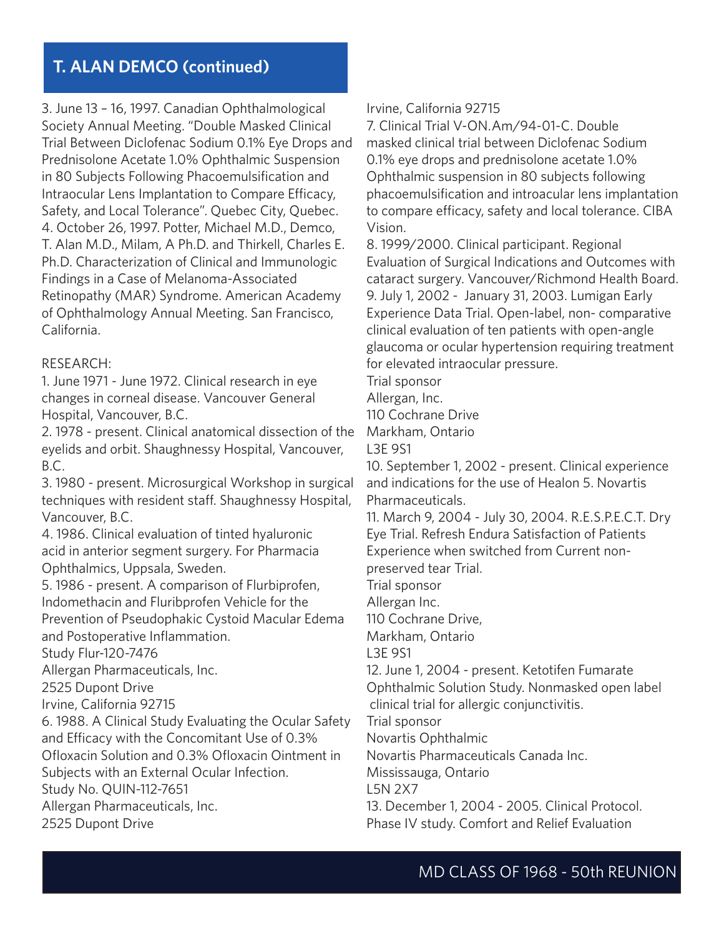3. June 13 – 16, 1997. Canadian Ophthalmological Society Annual Meeting. "Double Masked Clinical Trial Between Diclofenac Sodium 0.1% Eye Drops and Prednisolone Acetate 1.0% Ophthalmic Suspension in 80 Subjects Following Phacoemulsification and Intraocular Lens Implantation to Compare Efficacy, Safety, and Local Tolerance". Quebec City, Quebec. 4. October 26, 1997. Potter, Michael M.D., Demco, T. Alan M.D., Milam, A Ph.D. and Thirkell, Charles E. Ph.D. Characterization of Clinical and Immunologic Findings in a Case of Melanoma-Associated Retinopathy (MAR) Syndrome. American Academy of Ophthalmology Annual Meeting. San Francisco, California.

#### RESEARCH:

1. June 1971 - June 1972. Clinical research in eye changes in corneal disease. Vancouver General Hospital, Vancouver, B.C.

2. 1978 - present. Clinical anatomical dissection of the eyelids and orbit. Shaughnessy Hospital, Vancouver, B.C.

3. 1980 - present. Microsurgical Workshop in surgical techniques with resident staff. Shaughnessy Hospital, Vancouver, B.C.

4. 1986. Clinical evaluation of tinted hyaluronic acid in anterior segment surgery. For Pharmacia Ophthalmics, Uppsala, Sweden.

5. 1986 - present. A comparison of Flurbiprofen, Indomethacin and Fluribprofen Vehicle for the Prevention of Pseudophakic Cystoid Macular Edema and Postoperative Inflammation.

Study Flur-120-7476

Allergan Pharmaceuticals, Inc.

2525 Dupont Drive

Irvine, California 92715

6. 1988. A Clinical Study Evaluating the Ocular Safety and Efficacy with the Concomitant Use of 0.3% Ofloxacin Solution and 0.3% Ofloxacin Ointment in

Subjects with an External Ocular Infection.

Study No. QUIN-112-7651

Allergan Pharmaceuticals, Inc.

2525 Dupont Drive

### Irvine, California 92715

7. Clinical Trial V-ON.Am/94-01-C. Double masked clinical trial between Diclofenac Sodium 0.1% eye drops and prednisolone acetate 1.0% Ophthalmic suspension in 80 subjects following phacoemulsification and introacular lens implantation to compare efficacy, safety and local tolerance. CIBA Vision.

8. 1999/2000. Clinical participant. Regional Evaluation of Surgical Indications and Outcomes with cataract surgery. Vancouver/Richmond Health Board. 9. July 1, 2002 - January 31, 2003. Lumigan Early Experience Data Trial. Open-label, non- comparative clinical evaluation of ten patients with open-angle glaucoma or ocular hypertension requiring treatment for elevated intraocular pressure.

Trial sponsor

Allergan, Inc.

110 Cochrane Drive

Markham, Ontario

L3E 9S1

10. September 1, 2002 - present. Clinical experience and indications for the use of Healon 5. Novartis Pharmaceuticals.

11. March 9, 2004 - July 30, 2004. R.E.S.P.E.C.T. Dry Eye Trial. Refresh Endura Satisfaction of Patients Experience when switched from Current nonpreserved tear Trial.

Trial sponsor

Allergan Inc.

110 Cochrane Drive,

Markham, Ontario

L3E 9S1

12. June 1, 2004 - present. Ketotifen Fumarate

Ophthalmic Solution Study. Nonmasked open label clinical trial for allergic conjunctivitis.

Trial sponsor

Novartis Ophthalmic

Novartis Pharmaceuticals Canada Inc.

Mississauga, Ontario

L5N 2X7

13. December 1, 2004 - 2005. Clinical Protocol. Phase IV study. Comfort and Relief Evaluation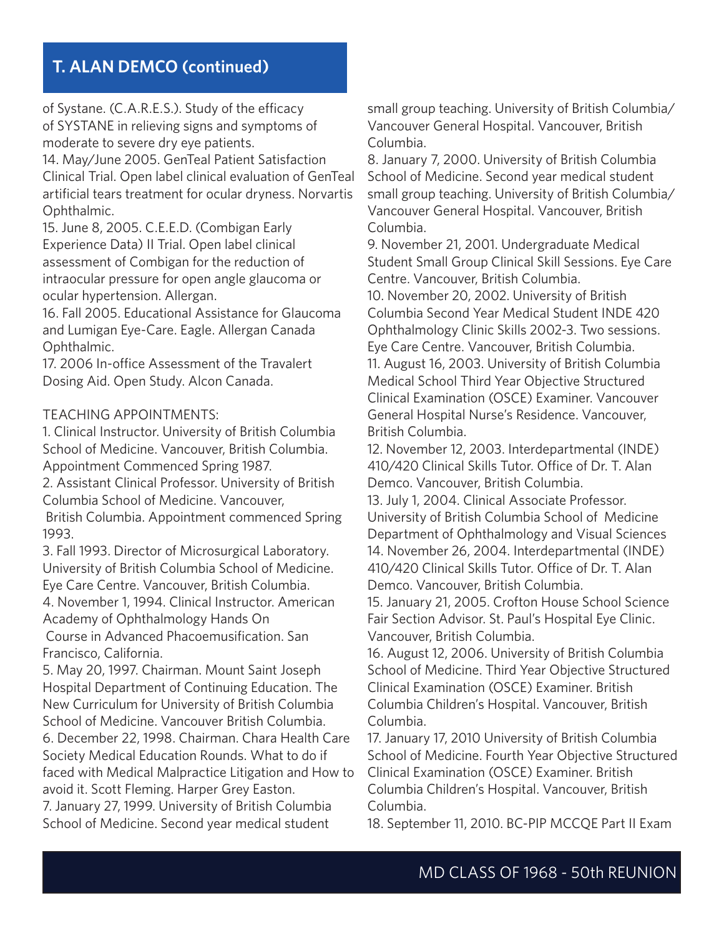of Systane. (C.A.R.E.S.). Study of the efficacy of SYSTANE in relieving signs and symptoms of moderate to severe dry eye patients.

14. May/June 2005. GenTeal Patient Satisfaction Clinical Trial. Open label clinical evaluation of GenTeal artificial tears treatment for ocular dryness. Norvartis Ophthalmic.

15. June 8, 2005. C.E.E.D. (Combigan Early Experience Data) II Trial. Open label clinical assessment of Combigan for the reduction of intraocular pressure for open angle glaucoma or ocular hypertension. Allergan.

16. Fall 2005. Educational Assistance for Glaucoma and Lumigan Eye-Care. Eagle. Allergan Canada Ophthalmic.

17. 2006 In-office Assessment of the Travalert Dosing Aid. Open Study. Alcon Canada.

#### TEACHING APPOINTMENTS:

1. Clinical Instructor. University of British Columbia School of Medicine. Vancouver, British Columbia. Appointment Commenced Spring 1987.

2. Assistant Clinical Professor. University of British Columbia School of Medicine. Vancouver,

 British Columbia. Appointment commenced Spring 1993.

3. Fall 1993. Director of Microsurgical Laboratory. University of British Columbia School of Medicine. Eye Care Centre. Vancouver, British Columbia. 4. November 1, 1994. Clinical Instructor. American Academy of Ophthalmology Hands On Course in Advanced Phacoemusification. San

Francisco, California.

5. May 20, 1997. Chairman. Mount Saint Joseph Hospital Department of Continuing Education. The New Curriculum for University of British Columbia School of Medicine. Vancouver British Columbia. 6. December 22, 1998. Chairman. Chara Health Care Society Medical Education Rounds. What to do if faced with Medical Malpractice Litigation and How to avoid it. Scott Fleming. Harper Grey Easton. 7. January 27, 1999. University of British Columbia

School of Medicine. Second year medical student

small group teaching. University of British Columbia/ Vancouver General Hospital. Vancouver, British Columbia.

8. January 7, 2000. University of British Columbia School of Medicine. Second year medical student small group teaching. University of British Columbia/ Vancouver General Hospital. Vancouver, British Columbia.

9. November 21, 2001. Undergraduate Medical Student Small Group Clinical Skill Sessions. Eye Care Centre. Vancouver, British Columbia.

10. November 20, 2002. University of British Columbia Second Year Medical Student INDE 420 Ophthalmology Clinic Skills 2002-3. Two sessions. Eye Care Centre. Vancouver, British Columbia. 11. August 16, 2003. University of British Columbia Medical School Third Year Objective Structured Clinical Examination (OSCE) Examiner. Vancouver General Hospital Nurse's Residence. Vancouver, British Columbia.

12. November 12, 2003. Interdepartmental (INDE) 410/420 Clinical Skills Tutor. Office of Dr. T. Alan Demco. Vancouver, British Columbia.

13. July 1, 2004. Clinical Associate Professor. University of British Columbia School of Medicine Department of Ophthalmology and Visual Sciences 14. November 26, 2004. Interdepartmental (INDE) 410/420 Clinical Skills Tutor. Office of Dr. T. Alan Demco. Vancouver, British Columbia.

15. January 21, 2005. Crofton House School Science Fair Section Advisor. St. Paul's Hospital Eye Clinic. Vancouver, British Columbia.

16. August 12, 2006. University of British Columbia School of Medicine. Third Year Objective Structured Clinical Examination (OSCE) Examiner. British Columbia Children's Hospital. Vancouver, British Columbia.

17. January 17, 2010 University of British Columbia School of Medicine. Fourth Year Objective Structured Clinical Examination (OSCE) Examiner. British Columbia Children's Hospital. Vancouver, British Columbia.

18. September 11, 2010. BC-PIP MCCQE Part II Exam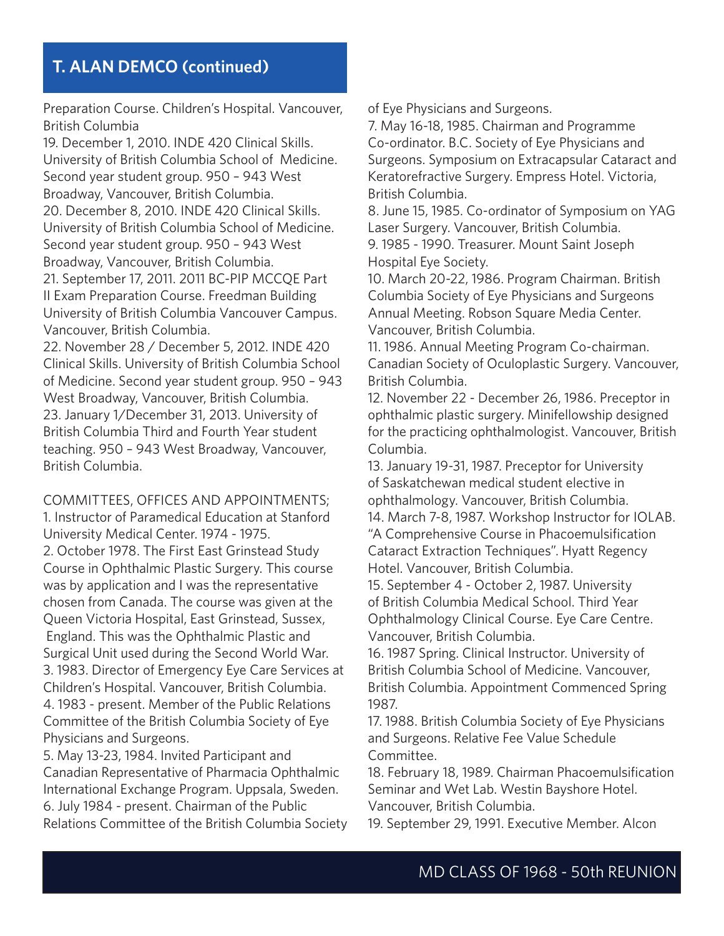Preparation Course. Children's Hospital. Vancouver, British Columbia

19. December 1, 2010. INDE 420 Clinical Skills. University of British Columbia School of Medicine. Second year student group. 950 – 943 West Broadway, Vancouver, British Columbia. 20. December 8, 2010. INDE 420 Clinical Skills. University of British Columbia School of Medicine. Second year student group. 950 – 943 West Broadway, Vancouver, British Columbia. 21. September 17, 2011. 2011 BC-PIP MCCQE Part II Exam Preparation Course. Freedman Building University of British Columbia Vancouver Campus. Vancouver, British Columbia.

22. November 28 / December 5, 2012. INDE 420 Clinical Skills. University of British Columbia School of Medicine. Second year student group. 950 – 943 West Broadway, Vancouver, British Columbia. 23. January 1/December 31, 2013. University of British Columbia Third and Fourth Year student teaching. 950 – 943 West Broadway, Vancouver, British Columbia.

COMMITTEES, OFFICES AND APPOINTMENTS;

1. Instructor of Paramedical Education at Stanford University Medical Center. 1974 - 1975. 2. October 1978. The First East Grinstead Study Course in Ophthalmic Plastic Surgery. This course was by application and I was the representative chosen from Canada. The course was given at the Queen Victoria Hospital, East Grinstead, Sussex, England. This was the Ophthalmic Plastic and Surgical Unit used during the Second World War. 3. 1983. Director of Emergency Eye Care Services at Children's Hospital. Vancouver, British Columbia. 4. 1983 - present. Member of the Public Relations Committee of the British Columbia Society of Eye Physicians and Surgeons.

5. May 13-23, 1984. Invited Participant and Canadian Representative of Pharmacia Ophthalmic International Exchange Program. Uppsala, Sweden. 6. July 1984 - present. Chairman of the Public Relations Committee of the British Columbia Society of Eye Physicians and Surgeons.

7. May 16-18, 1985. Chairman and Programme Co-ordinator. B.C. Society of Eye Physicians and Surgeons. Symposium on Extracapsular Cataract and Keratorefractive Surgery. Empress Hotel. Victoria, British Columbia.

8. June 15, 1985. Co-ordinator of Symposium on YAG Laser Surgery. Vancouver, British Columbia. 9. 1985 - 1990. Treasurer. Mount Saint Joseph Hospital Eye Society.

10. March 20-22, 1986. Program Chairman. British Columbia Society of Eye Physicians and Surgeons Annual Meeting. Robson Square Media Center. Vancouver, British Columbia.

11. 1986. Annual Meeting Program Co-chairman. Canadian Society of Oculoplastic Surgery. Vancouver, British Columbia.

12. November 22 - December 26, 1986. Preceptor in ophthalmic plastic surgery. Minifellowship designed for the practicing ophthalmologist. Vancouver, British Columbia.

13. January 19-31, 1987. Preceptor for University of Saskatchewan medical student elective in ophthalmology. Vancouver, British Columbia. 14. March 7-8, 1987. Workshop Instructor for IOLAB. "A Comprehensive Course in Phacoemulsification Cataract Extraction Techniques". Hyatt Regency Hotel. Vancouver, British Columbia.

15. September 4 - October 2, 1987. University of British Columbia Medical School. Third Year Ophthalmology Clinical Course. Eye Care Centre. Vancouver, British Columbia.

16. 1987 Spring. Clinical Instructor. University of British Columbia School of Medicine. Vancouver, British Columbia. Appointment Commenced Spring 1987.

17. 1988. British Columbia Society of Eye Physicians and Surgeons. Relative Fee Value Schedule Committee.

18. February 18, 1989. Chairman Phacoemulsification Seminar and Wet Lab. Westin Bayshore Hotel. Vancouver, British Columbia.

19. September 29, 1991. Executive Member. Alcon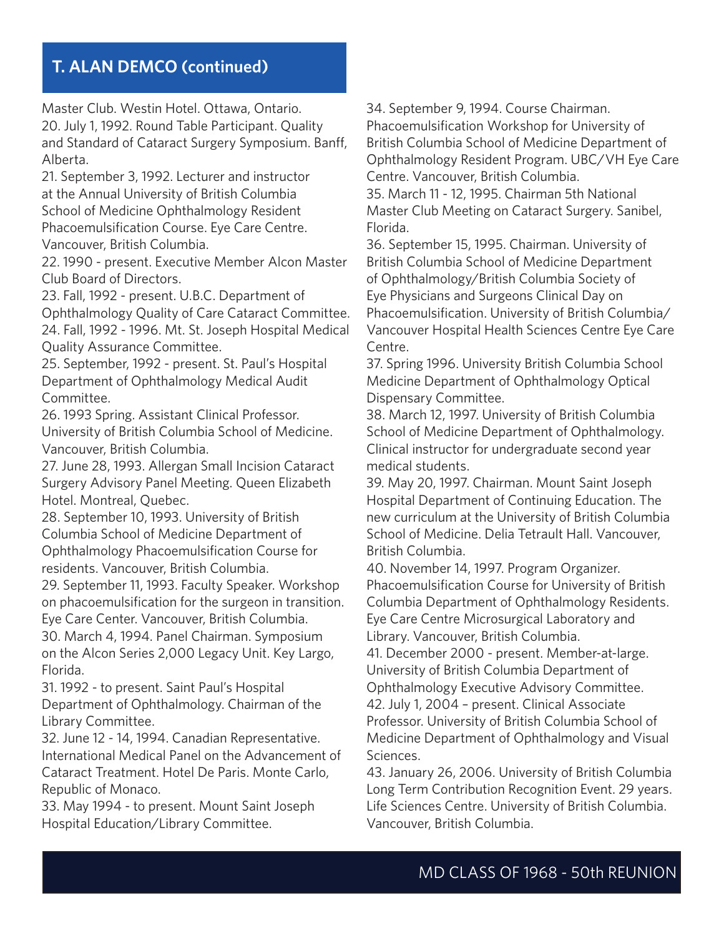Master Club. Westin Hotel. Ottawa, Ontario. 20. July 1, 1992. Round Table Participant. Quality and Standard of Cataract Surgery Symposium. Banff, Alberta.

21. September 3, 1992. Lecturer and instructor at the Annual University of British Columbia School of Medicine Ophthalmology Resident Phacoemulsification Course. Eye Care Centre. Vancouver, British Columbia.

22. 1990 - present. Executive Member Alcon Master Club Board of Directors.

23. Fall, 1992 - present. U.B.C. Department of Ophthalmology Quality of Care Cataract Committee. 24. Fall, 1992 - 1996. Mt. St. Joseph Hospital Medical Quality Assurance Committee.

25. September, 1992 - present. St. Paul's Hospital Department of Ophthalmology Medical Audit Committee.

26. 1993 Spring. Assistant Clinical Professor. University of British Columbia School of Medicine. Vancouver, British Columbia.

27. June 28, 1993. Allergan Small Incision Cataract Surgery Advisory Panel Meeting. Queen Elizabeth Hotel. Montreal, Quebec.

28. September 10, 1993. University of British Columbia School of Medicine Department of Ophthalmology Phacoemulsification Course for residents. Vancouver, British Columbia.

29. September 11, 1993. Faculty Speaker. Workshop on phacoemulsification for the surgeon in transition. Eye Care Center. Vancouver, British Columbia.

30. March 4, 1994. Panel Chairman. Symposium on the Alcon Series 2,000 Legacy Unit. Key Largo, Florida.

31. 1992 - to present. Saint Paul's Hospital Department of Ophthalmology. Chairman of the Library Committee.

32. June 12 - 14, 1994. Canadian Representative. International Medical Panel on the Advancement of Cataract Treatment. Hotel De Paris. Monte Carlo, Republic of Monaco.

33. May 1994 - to present. Mount Saint Joseph Hospital Education/Library Committee.

34. September 9, 1994. Course Chairman. Phacoemulsification Workshop for University of British Columbia School of Medicine Department of Ophthalmology Resident Program. UBC/VH Eye Care

Centre. Vancouver, British Columbia.

35. March 11 - 12, 1995. Chairman 5th National Master Club Meeting on Cataract Surgery. Sanibel, Florida.

36. September 15, 1995. Chairman. University of British Columbia School of Medicine Department of Ophthalmology/British Columbia Society of Eye Physicians and Surgeons Clinical Day on Phacoemulsification. University of British Columbia/ Vancouver Hospital Health Sciences Centre Eye Care Centre.

37. Spring 1996. University British Columbia School Medicine Department of Ophthalmology Optical Dispensary Committee.

38. March 12, 1997. University of British Columbia School of Medicine Department of Ophthalmology. Clinical instructor for undergraduate second year medical students.

39. May 20, 1997. Chairman. Mount Saint Joseph Hospital Department of Continuing Education. The new curriculum at the University of British Columbia School of Medicine. Delia Tetrault Hall. Vancouver, British Columbia.

40. November 14, 1997. Program Organizer. Phacoemulsification Course for University of British Columbia Department of Ophthalmology Residents. Eye Care Centre Microsurgical Laboratory and Library. Vancouver, British Columbia.

41. December 2000 - present. Member-at-large. University of British Columbia Department of Ophthalmology Executive Advisory Committee. 42. July 1, 2004 – present. Clinical Associate Professor. University of British Columbia School of Medicine Department of Ophthalmology and Visual Sciences.

43. January 26, 2006. University of British Columbia Long Term Contribution Recognition Event. 29 years. Life Sciences Centre. University of British Columbia. Vancouver, British Columbia.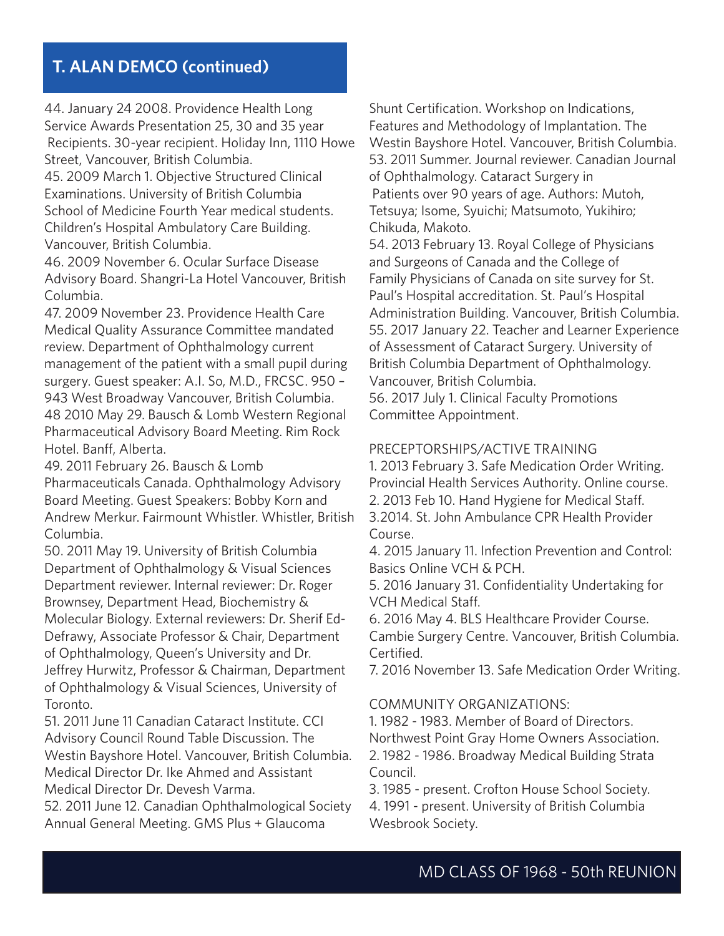44. January 24 2008. Providence Health Long Service Awards Presentation 25, 30 and 35 year Recipients. 30-year recipient. Holiday Inn, 1110 Howe Street, Vancouver, British Columbia.

45. 2009 March 1. Objective Structured Clinical Examinations. University of British Columbia School of Medicine Fourth Year medical students. Children's Hospital Ambulatory Care Building. Vancouver, British Columbia.

46. 2009 November 6. Ocular Surface Disease Advisory Board. Shangri-La Hotel Vancouver, British Columbia.

47. 2009 November 23. Providence Health Care Medical Quality Assurance Committee mandated review. Department of Ophthalmology current management of the patient with a small pupil during surgery. Guest speaker: A.I. So, M.D., FRCSC. 950 – 943 West Broadway Vancouver, British Columbia. 48 2010 May 29. Bausch & Lomb Western Regional Pharmaceutical Advisory Board Meeting. Rim Rock Hotel. Banff, Alberta.

49. 2011 February 26. Bausch & Lomb Pharmaceuticals Canada. Ophthalmology Advisory Board Meeting. Guest Speakers: Bobby Korn and Andrew Merkur. Fairmount Whistler. Whistler, British Columbia.

50. 2011 May 19. University of British Columbia Department of Ophthalmology & Visual Sciences Department reviewer. Internal reviewer: Dr. Roger Brownsey, Department Head, Biochemistry & Molecular Biology. External reviewers: Dr. Sherif Ed-Defrawy, Associate Professor & Chair, Department of Ophthalmology, Queen's University and Dr. Jeffrey Hurwitz, Professor & Chairman, Department of Ophthalmology & Visual Sciences, University of Toronto.

51. 2011 June 11 Canadian Cataract Institute. CCI Advisory Council Round Table Discussion. The Westin Bayshore Hotel. Vancouver, British Columbia. Medical Director Dr. Ike Ahmed and Assistant Medical Director Dr. Devesh Varma.

52. 2011 June 12. Canadian Ophthalmological Society Annual General Meeting. GMS Plus + Glaucoma

Shunt Certification. Workshop on Indications, Features and Methodology of Implantation. The Westin Bayshore Hotel. Vancouver, British Columbia. 53. 2011 Summer. Journal reviewer. Canadian Journal of Ophthalmology. Cataract Surgery in Patients over 90 years of age. Authors: Mutoh, Tetsuya; Isome, Syuichi; Matsumoto, Yukihiro; Chikuda, Makoto.

54. 2013 February 13. Royal College of Physicians and Surgeons of Canada and the College of Family Physicians of Canada on site survey for St. Paul's Hospital accreditation. St. Paul's Hospital Administration Building. Vancouver, British Columbia. 55. 2017 January 22. Teacher and Learner Experience of Assessment of Cataract Surgery. University of British Columbia Department of Ophthalmology. Vancouver, British Columbia.

56. 2017 July 1. Clinical Faculty Promotions Committee Appointment.

#### PRECEPTORSHIPS/ACTIVE TRAINING

1. 2013 February 3. Safe Medication Order Writing. Provincial Health Services Authority. Online course. 2. 2013 Feb 10. Hand Hygiene for Medical Staff. 3.2014. St. John Ambulance CPR Health Provider Course.

4. 2015 January 11. Infection Prevention and Control: Basics Online VCH & PCH.

5. 2016 January 31. Confidentiality Undertaking for VCH Medical Staff.

6. 2016 May 4. BLS Healthcare Provider Course. Cambie Surgery Centre. Vancouver, British Columbia. Certified.

7. 2016 November 13. Safe Medication Order Writing.

COMMUNITY ORGANIZATIONS:

Council.

1. 1982 - 1983. Member of Board of Directors.

Northwest Point Gray Home Owners Association. 2. 1982 - 1986. Broadway Medical Building Strata

3. 1985 - present. Crofton House School Society. 4. 1991 - present. University of British Columbia Wesbrook Society.